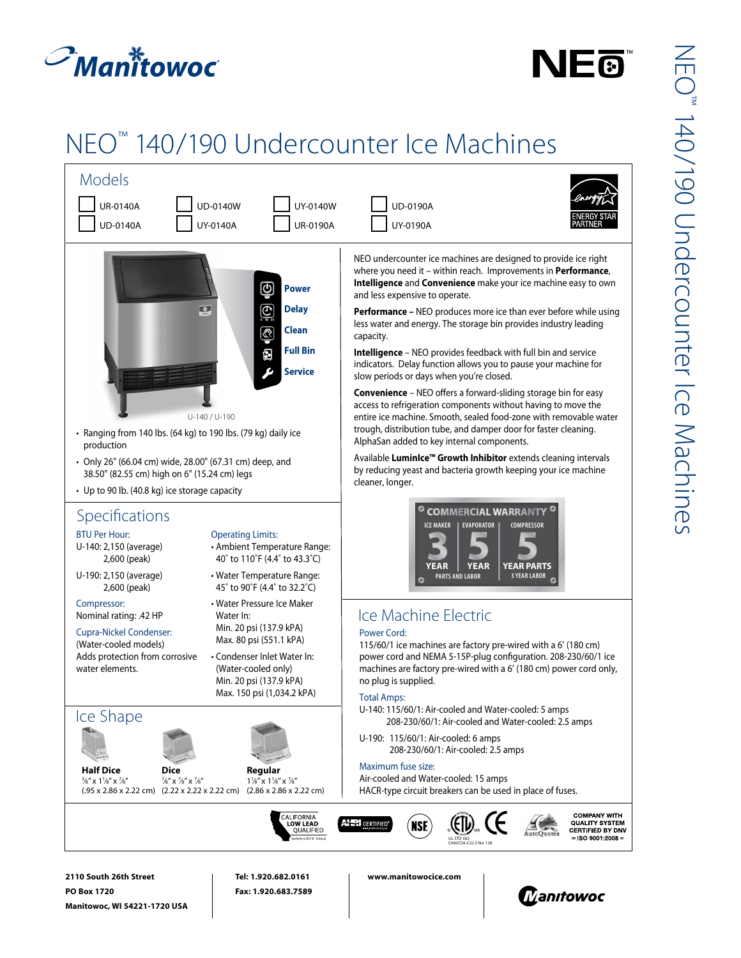



## NEO™ 140/190 Undercounter Ice Machines